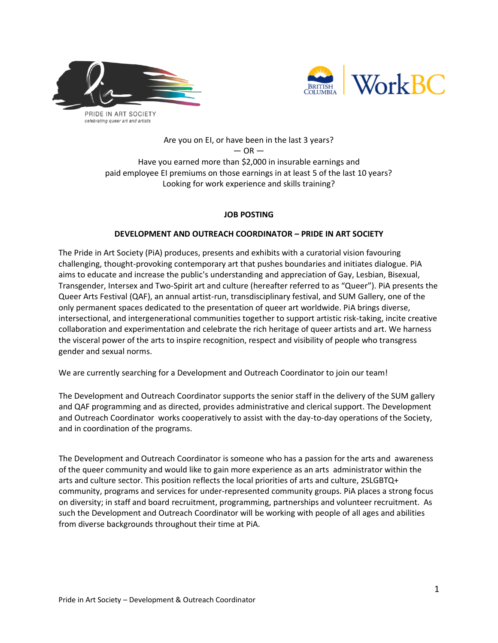



## Are you on EI, or have been in the last 3 years?  $-$  OR  $-$ Have you earned more than \$2,000 in insurable earnings and paid employee EI premiums on those earnings in at least 5 of the last 10 years? Looking for work experience and skills training?

# **JOB POSTING**

## **DEVELOPMENT AND OUTREACH COORDINATOR – PRIDE IN ART SOCIETY**

The Pride in Art Society (PiA) produces, presents and exhibits with a curatorial vision favouring challenging, thought-provoking contemporary art that pushes boundaries and initiates dialogue. PiA aims to educate and increase the public's understanding and appreciation of Gay, Lesbian, Bisexual, Transgender, Intersex and Two-Spirit art and culture (hereafter referred to as "Queer"). PiA presents the Queer Arts Festival (QAF), an annual artist-run, transdisciplinary festival, and SUM Gallery, one of the only permanent spaces dedicated to the presentation of queer art worldwide. PiA brings diverse, intersectional, and intergenerational communities together to support artistic risk-taking, incite creative collaboration and experimentation and celebrate the rich heritage of queer artists and art. We harness the visceral power of the arts to inspire recognition, respect and visibility of people who transgress gender and sexual norms.

We are currently searching for a Development and Outreach Coordinator to join our team!

The Development and Outreach Coordinator supports the senior staff in the delivery of the SUM gallery and QAF programming and as directed, provides administrative and clerical support. The Development and Outreach Coordinator works cooperatively to assist with the day-to-day operations of the Society, and in coordination of the programs.

The Development and Outreach Coordinator is someone who has a passion for the arts and awareness of the queer community and would like to gain more experience as an arts administrator within the arts and culture sector. This position reflects the local priorities of arts and culture, 2SLGBTQ+ community, programs and services for under-represented community groups. PiA places a strong focus on diversity; in staff and board recruitment, programming, partnerships and volunteer recruitment. As such the Development and Outreach Coordinator will be working with people of all ages and abilities from diverse backgrounds throughout their time at PiA.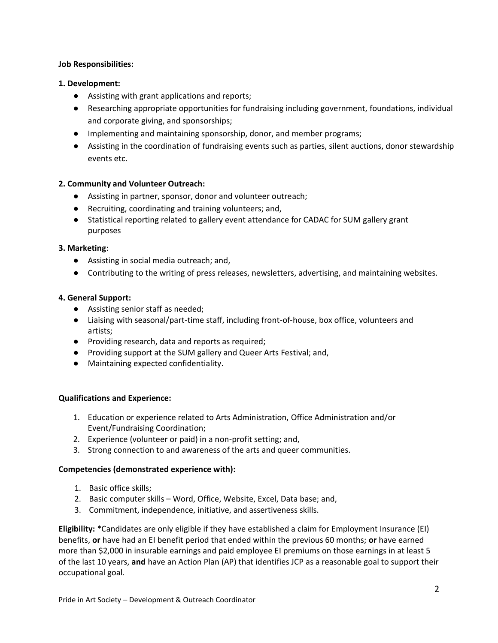### **Job Responsibilities:**

### **1. Development:**

- Assisting with grant applications and reports;
- Researching appropriate opportunities for fundraising including government, foundations, individual and corporate giving, and sponsorships;
- Implementing and maintaining sponsorship, donor, and member programs;
- Assisting in the coordination of fundraising events such as parties, silent auctions, donor stewardship events etc.

## **2. Community and Volunteer Outreach:**

- Assisting in partner, sponsor, donor and volunteer outreach;
- Recruiting, coordinating and training volunteers; and,
- Statistical reporting related to gallery event attendance for CADAC for SUM gallery grant purposes

#### **3. Marketing**:

- Assisting in social media outreach; and,
- Contributing to the writing of press releases, newsletters, advertising, and maintaining websites.

#### **4. General Support:**

- Assisting senior staff as needed;
- Liaising with seasonal/part-time staff, including front-of-house, box office, volunteers and artists;
- Providing research, data and reports as required;
- Providing support at the SUM gallery and Queer Arts Festival; and,
- Maintaining expected confidentiality.

## **Qualifications and Experience:**

- 1. Education or experience related to Arts Administration, Office Administration and/or Event/Fundraising Coordination;
- 2. Experience (volunteer or paid) in a non-profit setting; and,
- 3. Strong connection to and awareness of the arts and queer communities.

## **Competencies (demonstrated experience with):**

- 1. Basic office skills;
- 2. Basic computer skills Word, Office, Website, Excel, Data base; and,
- 3. Commitment, independence, initiative, and assertiveness skills.

**Eligibility:** \*Candidates are only eligible if they have established a claim for Employment Insurance (EI) benefits, **or** have had an EI benefit period that ended within the previous 60 months; **or** have earned more than \$2,000 in insurable earnings and paid employee EI premiums on those earnings in at least 5 of the last 10 years, **and** have an Action Plan (AP) that identifies JCP as a reasonable goal to support their occupational goal.